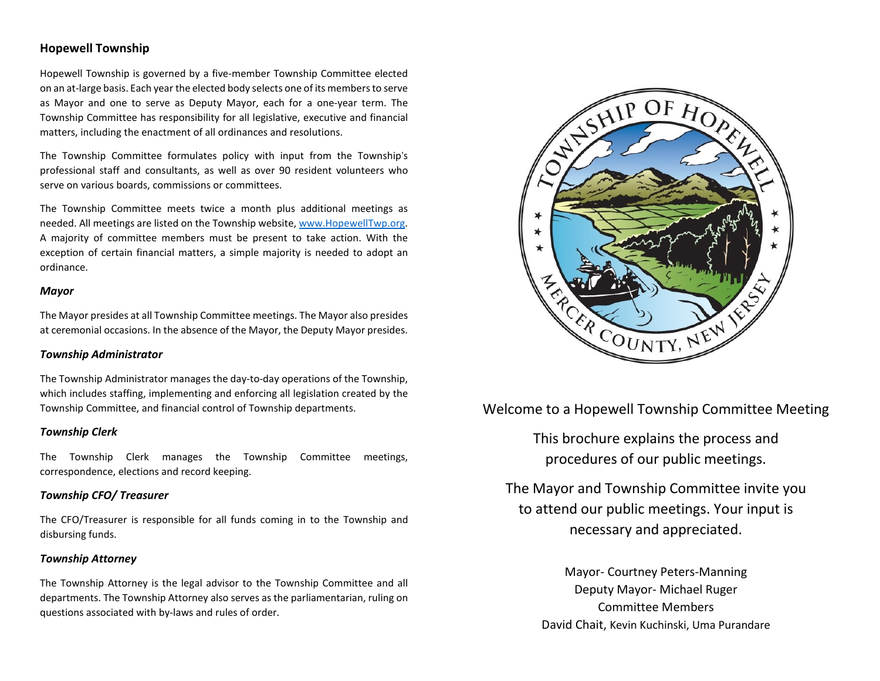# **Hopewell Township**

Hopewell Township is governed by a five-member Township Committee elected on an at-large basis. Each year the elected body selects one of its membersto serve as Mayor and one to serve as Deputy Mayor, each for a one-year term. The Township Committee has responsibility for all legislative, executive and financial matters, including the enactment of all ordinances and resolutions.

The Township Committee formulates policy with input from the Township's professional staff and consultants, as well as over 90 resident volunteers who serve on various boards, commissions or committees.

The Township Committee meets twice a month plus additional meetings as needed. All meetings are listed on the Township website, [www.HopewellTwp.org.](http://www.hopewelltwp.org/) A majority of committee members must be present to take action. With the exception of certain financial matters, a simple majority is needed to adopt an ordinance.

## *Mayor*

The Mayor presides at all Township Committee meetings. The Mayor also presides at ceremonial occasions. In the absence of the Mayor, the Deputy Mayor presides.

## *Township Administrator*

The Township Administrator manages the day-to-day operations of the Township, which includes staffing, implementing and enforcing all legislation created by the Township Committee, and financial control of Township departments.

## *Township Clerk*

The Township Clerk manages the Township Committee meetings, correspondence, elections and record keeping.

## *Township CFO/ Treasurer*

The CFO/Treasurer is responsible for all funds coming in to the Township and disbursing funds.

### *Township Attorney*

The Township Attorney is the legal advisor to the Township Committee and all departments. The Township Attorney also serves as the parliamentarian, ruling on questions associated with by-laws and rules of order.



Welcome to a Hopewell Township Committee Meeting

This brochure explains the process and procedures of our public meetings.

The Mayor and Township Committee invite you to attend our public meetings. Your input is necessary and appreciated.

> Mayor- Courtney Peters-Manning Deputy Mayor- Michael Ruger Committee Members David Chait, Kevin Kuchinski, Uma Purandare